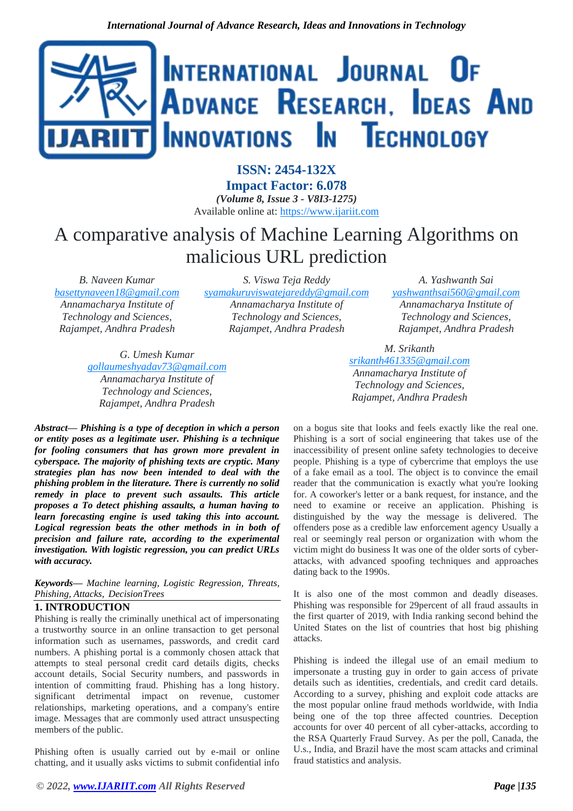

**ISSN: 2454-132X Impact Factor: 6.078** *(Volume 8, Issue 3 - V8I3-1275)* Available online at: [https://www.ijariit.com](https://www.ijariit.com/?utm_source=pdf&utm_medium=edition&utm_campaign=OmAkSols&utm_term=V8I3-1275)

# A comparative analysis of Machine Learning Algorithms on malicious URL prediction

*B. Naveen Kumar [basettynaveen18@gmail.com](mailto:basettynaveen18@gmail.com) Annamacharya Institute of Technology and Sciences, Rajampet, Andhra Pradesh*

*S. Viswa Teja Reddy [syamakuruviswatejareddy@gmail.com](mailto:syamakuruviswatejareddy@gmail.com) Annamacharya Institute of Technology and Sciences, Rajampet, Andhra Pradesh*

*G. Umesh Kumar [gollaumeshyadav73@gmail.com](mailto:gollaumeshyadav73@gmail.com) Annamacharya Institute of Technology and Sciences, Rajampet, Andhra Pradesh*

*Abstract— Phishing is a type of deception in which a person or entity poses as a legitimate user. Phishing is a technique for fooling consumers that has grown more prevalent in cyberspace. The majority of phishing texts are cryptic. Many strategies plan has now been intended to deal with the phishing problem in the literature. There is currently no solid remedy in place to prevent such assaults. This article proposes a To detect phishing assaults, a human having to learn forecasting engine is used taking this into account. Logical regression beats the other methods in in both of precision and failure rate, according to the experimental investigation. With logistic regression, you can predict URLs with accuracy.*

*Keywords— Machine learning, Logistic Regression, Threats, Phishing, Attacks, DecisionTrees*

# **1. INTRODUCTION**

Phishing is really the criminally unethical act of impersonating a trustworthy source in an online transaction to get personal information such as usernames, passwords, and credit card numbers. A phishing portal is a commonly chosen attack that attempts to steal personal credit card details digits, checks account details, Social Security numbers, and passwords in intention of committing fraud. Phishing has a long history. significant detrimental impact on revenue, customer relationships, marketing operations, and a company's entire image. Messages that are commonly used attract unsuspecting members of the public.

Phishing often is usually carried out by e-mail or online chatting, and it usually asks victims to submit confidential info

*A. Yashwanth Sai [yashwanthsai560@gmail.com](mailto:yashwanthsai560@gmail.com) Annamacharya Institute of Technology and Sciences, Rajampet, Andhra Pradesh*

*M. Srikanth*

*[srikanth461335@gmail.com](mailto:srikanth461335@gmail.com) Annamacharya Institute of Technology and Sciences, Rajampet, Andhra Pradesh*

on a bogus site that looks and feels exactly like the real one. Phishing is a sort of social engineering that takes use of the inaccessibility of present online safety technologies to deceive people. Phishing is a type of cybercrime that employs the use of a fake email as a tool. The object is to convince the email reader that the communication is exactly what you're looking for. A coworker's letter or a bank request, for instance, and the need to examine or receive an application. Phishing is distinguished by the way the message is delivered. The offenders pose as a credible law enforcement agency Usually a real or seemingly real person or organization with whom the victim might do business It was one of the older sorts of cyberattacks, with advanced spoofing techniques and approaches dating back to the 1990s.

It is also one of the most common and deadly diseases. Phishing was responsible for 29percent of all fraud assaults in the first quarter of 2019, with India ranking second behind the United States on the list of countries that host big phishing attacks.

Phishing is indeed the illegal use of an email medium to impersonate a trusting guy in order to gain access of private details such as identities, credentials, and credit card details. According to a survey, phishing and exploit code attacks are the most popular online fraud methods worldwide, with India being one of the top three affected countries. Deception accounts for over 40 percent of all cyber-attacks, according to the RSA Quarterly Fraud Survey. As per the poll, Canada, the U.s., India, and Brazil have the most scam attacks and criminal fraud statistics and analysis.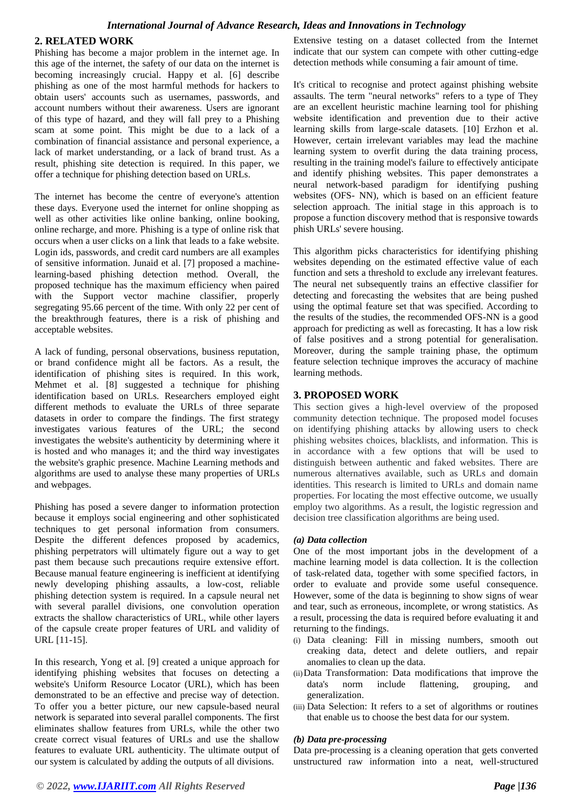# **2. RELATED WORK**

Phishing has become a major problem in the internet age. In this age of the internet, the safety of our data on the internet is becoming increasingly crucial. Happy et al. [6] describe phishing as one of the most harmful methods for hackers to obtain users' accounts such as usernames, passwords, and account numbers without their awareness. Users are ignorant of this type of hazard, and they will fall prey to a Phishing scam at some point. This might be due to a lack of a combination of financial assistance and personal experience, a lack of market understanding, or a lack of brand trust. As a result, phishing site detection is required. In this paper, we offer a technique for phishing detection based on URLs.

The internet has become the centre of everyone's attention these days. Everyone used the internet for online shopping as well as other activities like online banking, online booking, online recharge, and more. Phishing is a type of online risk that occurs when a user clicks on a link that leads to a fake website. Login ids, passwords, and credit card numbers are all examples of sensitive information. Junaid et al. [7] proposed a machinelearning-based phishing detection method. Overall, the proposed technique has the maximum efficiency when paired with the Support vector machine classifier, properly segregating 95.66 percent of the time. With only 22 per cent of the breakthrough features, there is a risk of phishing and acceptable websites.

A lack of funding, personal observations, business reputation, or brand confidence might all be factors. As a result, the identification of phishing sites is required. In this work, Mehmet et al. [8] suggested a technique for phishing identification based on URLs. Researchers employed eight different methods to evaluate the URLs of three separate datasets in order to compare the findings. The first strategy investigates various features of the URL; the second investigates the website's authenticity by determining where it is hosted and who manages it; and the third way investigates the website's graphic presence. Machine Learning methods and algorithms are used to analyse these many properties of URLs and webpages.

Phishing has posed a severe danger to information protection because it employs social engineering and other sophisticated techniques to get personal information from consumers. Despite the different defences proposed by academics, phishing perpetrators will ultimately figure out a way to get past them because such precautions require extensive effort. Because manual feature engineering is inefficient at identifying newly developing phishing assaults, a low-cost, reliable phishing detection system is required. In a capsule neural net with several parallel divisions, one convolution operation extracts the shallow characteristics of URL, while other layers of the capsule create proper features of URL and validity of URL [11-15].

In this research, Yong et al. [9] created a unique approach for identifying phishing websites that focuses on detecting a website's Uniform Resource Locator (URL), which has been demonstrated to be an effective and precise way of detection. To offer you a better picture, our new capsule-based neural network is separated into several parallel components. The first eliminates shallow features from URLs, while the other two create correct visual features of URLs and use the shallow features to evaluate URL authenticity. The ultimate output of our system is calculated by adding the outputs of all divisions.

Extensive testing on a dataset collected from the Internet indicate that our system can compete with other cutting-edge detection methods while consuming a fair amount of time.

It's critical to recognise and protect against phishing website assaults. The term "neural networks" refers to a type of They are an excellent heuristic machine learning tool for phishing website identification and prevention due to their active learning skills from large-scale datasets. [10] Erzhon et al. However, certain irrelevant variables may lead the machine learning system to overfit during the data training process, resulting in the training model's failure to effectively anticipate and identify phishing websites. This paper demonstrates a neural network-based paradigm for identifying pushing websites (OFS- NN), which is based on an efficient feature selection approach. The initial stage in this approach is to propose a function discovery method that is responsive towards phish URLs' severe housing.

This algorithm picks characteristics for identifying phishing websites depending on the estimated effective value of each function and sets a threshold to exclude any irrelevant features. The neural net subsequently trains an effective classifier for detecting and forecasting the websites that are being pushed using the optimal feature set that was specified. According to the results of the studies, the recommended OFS-NN is a good approach for predicting as well as forecasting. It has a low risk of false positives and a strong potential for generalisation. Moreover, during the sample training phase, the optimum feature selection technique improves the accuracy of machine learning methods.

# **3. PROPOSED WORK**

This section gives a high-level overview of the proposed community detection technique. The proposed model focuses on identifying phishing attacks by allowing users to check phishing websites choices, blacklists, and information. This is in accordance with a few options that will be used to distinguish between authentic and faked websites. There are numerous alternatives available, such as URLs and domain identities. This research is limited to URLs and domain name properties. For locating the most effective outcome, we usually employ two algorithms. As a result, the logistic regression and decision tree classification algorithms are being used.

# *(a) Data collection*

One of the most important jobs in the development of a machine learning model is data collection. It is the collection of task-related data, together with some specified factors, in order to evaluate and provide some useful consequence. However, some of the data is beginning to show signs of wear and tear, such as erroneous, incomplete, or wrong statistics. As a result, processing the data is required before evaluating it and returning to the findings.

- (i) Data cleaning: Fill in missing numbers, smooth out creaking data, detect and delete outliers, and repair anomalies to clean up the data.
- (ii)Data Transformation: Data modifications that improve the data's norm include flattening, grouping, and generalization.
- (iii) Data Selection: It refers to a set of algorithms or routines that enable us to choose the best data for our system.

# *(b) Data pre-processing*

Data pre-processing is a cleaning operation that gets converted unstructured raw information into a neat, well-structured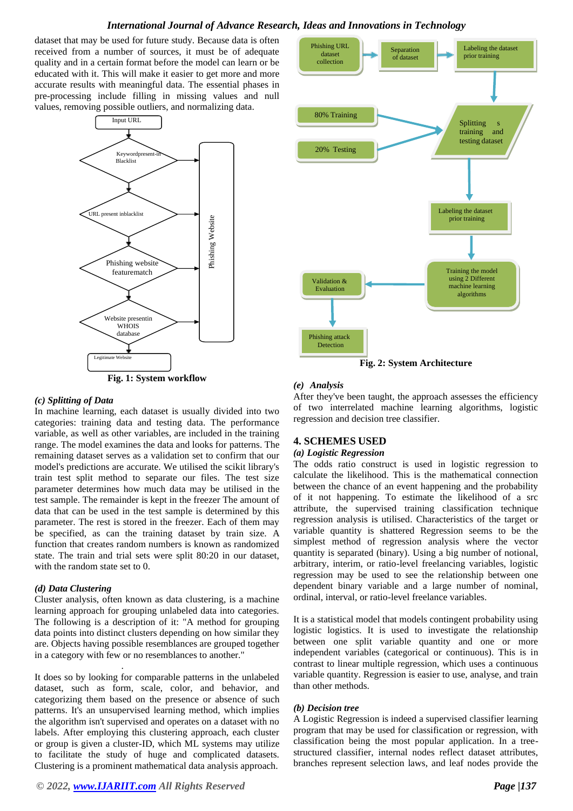# *International Journal of Advance Research, Ideas and Innovations in Technology*

dataset that may be used for future study. Because data is often received from a number of sources, it must be of adequate quality and in a certain format before the model can learn or be educated with it. This will make it easier to get more and more accurate results with meaningful data. The essential phases in pre-processing include filling in missing values and null values, removing possible outliers, and normalizing data.





#### *(c) Splitting of Data*

In machine learning, each dataset is usually divided into two categories: training data and testing data. The performance variable, as well as other variables, are included in the training range. The model examines the data and looks for patterns. The remaining dataset serves as a validation set to confirm that our model's predictions are accurate. We utilised the scikit library's train test split method to separate our files. The test size parameter determines how much data may be utilised in the test sample. The remainder is kept in the freezer The amount of data that can be used in the test sample is determined by this parameter. The rest is stored in the freezer. Each of them may be specified, as can the training dataset by train size. A function that creates random numbers is known as randomized state. The train and trial sets were split 80:20 in our dataset, with the random state set to 0.

# *(d) Data Clustering*

.

Cluster analysis, often known as data clustering, is a machine learning approach for grouping unlabeled data into categories. The following is a description of it: "A method for grouping data points into distinct clusters depending on how similar they are. Objects having possible resemblances are grouped together in a category with few or no resemblances to another."

It does so by looking for comparable patterns in the unlabeled dataset, such as form, scale, color, and behavior, and categorizing them based on the presence or absence of such patterns. It's an unsupervised learning method, which implies the algorithm isn't supervised and operates on a dataset with no labels. After employing this clustering approach, each cluster or group is given a cluster-ID, which ML systems may utilize to facilitate the study of huge and complicated datasets. Clustering is a prominent mathematical data analysis approach.



**Fig. 2: System Architecture**

# *(e) Analysis*

After they've been taught, the approach assesses the efficiency of two interrelated machine learning algorithms, logistic regression and decision tree classifier.

# **4. SCHEMES USED**

#### *(a) Logistic Regression*

The odds ratio construct is used in logistic regression to calculate the likelihood. This is the mathematical connection between the chance of an event happening and the probability of it not happening. To estimate the likelihood of a src attribute, the supervised training classification technique regression analysis is utilised. Characteristics of the target or variable quantity is shattered Regression seems to be the simplest method of regression analysis where the vector quantity is separated (binary). Using a big number of notional, arbitrary, interim, or ratio-level freelancing variables, logistic regression may be used to see the relationship between one dependent binary variable and a large number of nominal, ordinal, interval, or ratio-level freelance variables.

It is a statistical model that models contingent probability using logistic logistics. It is used to investigate the relationship between one split variable quantity and one or more independent variables (categorical or continuous). This is in contrast to linear multiple regression, which uses a continuous variable quantity. Regression is easier to use, analyse, and train than other methods.

# *(b) Decision tree*

A Logistic Regression is indeed a supervised classifier learning program that may be used for classification or regression, with classification being the most popular application. In a treestructured classifier, internal nodes reflect dataset attributes, branches represent selection laws, and leaf nodes provide the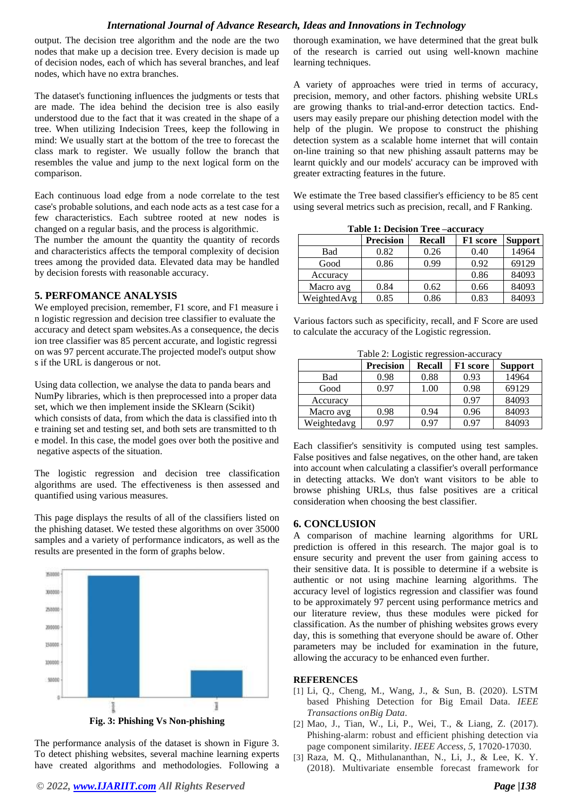# *International Journal of Advance Research, Ideas and Innovations in Technology*

output. The decision tree algorithm and the node are the two nodes that make up a decision tree. Every decision is made up of decision nodes, each of which has several branches, and leaf nodes, which have no extra branches.

The dataset's functioning influences the judgments or tests that are made. The idea behind the decision tree is also easily understood due to the fact that it was created in the shape of a tree. When utilizing Indecision Trees, keep the following in mind: We usually start at the bottom of the tree to forecast the class mark to register. We usually follow the branch that resembles the value and jump to the next logical form on the comparison.

Each continuous load edge from a node correlate to the test case's probable solutions, and each node acts as a test case for a few characteristics. Each subtree rooted at new nodes is changed on a regular basis, and the process is algorithmic.

The number the amount the quantity the quantity of records and characteristics affects the temporal complexity of decision trees among the provided data. Elevated data may be handled by decision forests with reasonable accuracy.

# **5. PERFOMANCE ANALYSIS**

We employed precision, remember, F1 score, and F1 measure i n logistic regression and decision tree classifier to evaluate the accuracy and detect spam websites.As a consequence, the decis ion tree classifier was 85 percent accurate, and logistic regressi on was 97 percent accurate.The projected model's output show s if the URL is dangerous or not.

Using data collection, we analyse the data to panda bears and NumPy libraries, which is then preprocessed into a proper data set, which we then implement inside the SKlearn (Scikit) which consists of data, from which the data is classified into th e training set and testing set, and both sets are transmitted to th e model. In this case, the model goes over both the positive and negative aspects of the situation.

The logistic regression and decision tree classification algorithms are used. The effectiveness is then assessed and quantified using various measures.

This page displays the results of all of the classifiers listed on the phishing dataset. We tested these algorithms on over 35000 samples and a variety of performance indicators, as well as the results are presented in the form of graphs below.



The performance analysis of the dataset is shown in Figure 3. To detect phishing websites, several machine learning experts have created algorithms and methodologies. Following a

thorough examination, we have determined that the great bulk of the research is carried out using well-known machine learning techniques.

A variety of approaches were tried in terms of accuracy, precision, memory, and other factors. phishing website URLs are growing thanks to trial-and-error detection tactics. Endusers may easily prepare our phishing detection model with the help of the plugin. We propose to construct the phishing detection system as a scalable home internet that will contain on-line training so that new phishing assault patterns may be learnt quickly and our models' accuracy can be improved with greater extracting features in the future.

We estimate the Tree based classifier's efficiency to be 85 cent using several metrics such as precision, recall, and F Ranking.

| Table 1: Decision Tree –accuracy |                  |        |          |                |  |  |
|----------------------------------|------------------|--------|----------|----------------|--|--|
|                                  | <b>Precision</b> | Recall | F1 score | <b>Support</b> |  |  |
| Bad                              | 0.82             | 0.26   | 0.40     | 14964          |  |  |
| Good                             | 0.86             | 0.99   | 0.92     | 69129          |  |  |
| Accuracy                         |                  |        | 0.86     | 84093          |  |  |
| Macro avg                        | 0.84             | 0.62   | 0.66     | 84093          |  |  |
| WeightedAvg                      | 0.85             | 0.86   | 0.83     | 84093          |  |  |

**Table 1: Decision Tree –accuracy**

Various factors such as specificity, recall, and F Score are used to calculate the accuracy of the Logistic regression.

Table 2: Logistic regression-accuracy

|             | Precision | <b>Recall</b> | F1 score | <b>Support</b> |
|-------------|-----------|---------------|----------|----------------|
| Bad         | 0.98      | 0.88          | 0.93     | 14964          |
| Good        | 0.97      | 1.00          | 0.98     | 69129          |
| Accuracy    |           |               | 0.97     | 84093          |
| Macro avg   | 0.98      | 0.94          | 0.96     | 84093          |
| Weightedavg | 0.97      | 0.97          | 0.97     | 84093          |

Each classifier's sensitivity is computed using test samples. False positives and false negatives, on the other hand, are taken into account when calculating a classifier's overall performance in detecting attacks. We don't want visitors to be able to browse phishing URLs, thus false positives are a critical consideration when choosing the best classifier.

# **6. CONCLUSION**

A comparison of machine learning algorithms for URL prediction is offered in this research. The major goal is to ensure security and prevent the user from gaining access to their sensitive data. It is possible to determine if a website is authentic or not using machine learning algorithms. The accuracy level of logistics regression and classifier was found to be approximately 97 percent using performance metrics and our literature review, thus these modules were picked for classification. As the number of phishing websites grows every day, this is something that everyone should be aware of. Other parameters may be included for examination in the future, allowing the accuracy to be enhanced even further.

# **REFERENCES**

- [1] Li, Q., Cheng, M., Wang, J., & Sun, B. (2020). LSTM based Phishing Detection for Big Email Data. *IEEE Transactions onBig Data*.
- [2] Mao, J., Tian, W., Li, P., Wei, T., & Liang, Z. (2017). Phishing-alarm: robust and efficient phishing detection via page component similarity. *IEEE Access*, *5*, 17020-17030.
- [3] Raza, M. Q., Mithulananthan, N., Li, J., & Lee, K. Y. (2018). Multivariate ensemble forecast framework for